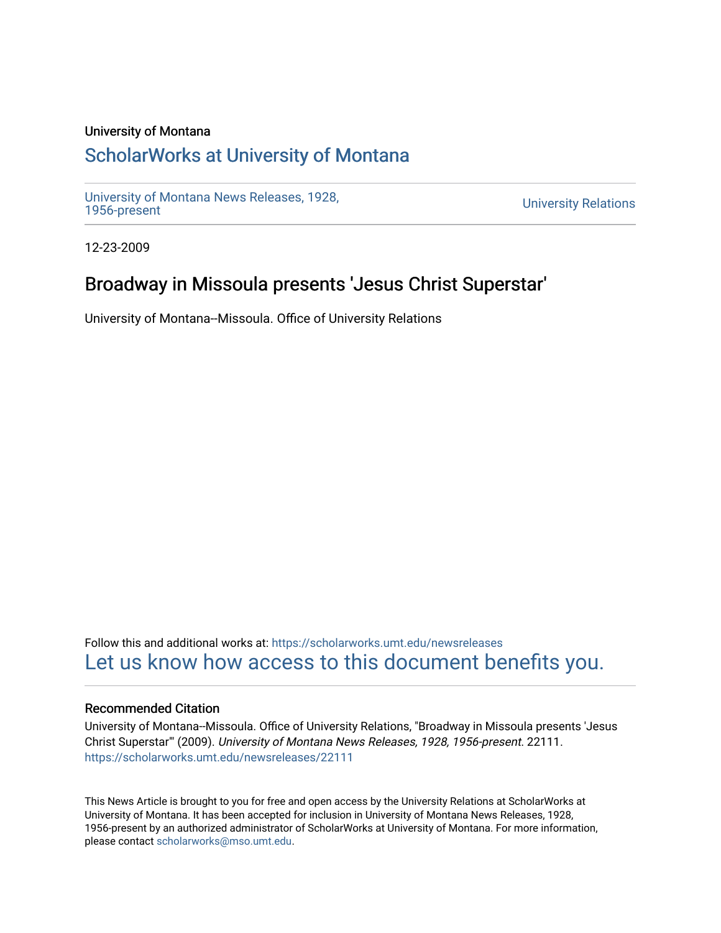#### University of Montana

# [ScholarWorks at University of Montana](https://scholarworks.umt.edu/)

[University of Montana News Releases, 1928,](https://scholarworks.umt.edu/newsreleases) 

**University Relations** 

12-23-2009

# Broadway in Missoula presents 'Jesus Christ Superstar'

University of Montana--Missoula. Office of University Relations

Follow this and additional works at: [https://scholarworks.umt.edu/newsreleases](https://scholarworks.umt.edu/newsreleases?utm_source=scholarworks.umt.edu%2Fnewsreleases%2F22111&utm_medium=PDF&utm_campaign=PDFCoverPages) [Let us know how access to this document benefits you.](https://goo.gl/forms/s2rGfXOLzz71qgsB2) 

#### Recommended Citation

University of Montana--Missoula. Office of University Relations, "Broadway in Missoula presents 'Jesus Christ Superstar'" (2009). University of Montana News Releases, 1928, 1956-present. 22111. [https://scholarworks.umt.edu/newsreleases/22111](https://scholarworks.umt.edu/newsreleases/22111?utm_source=scholarworks.umt.edu%2Fnewsreleases%2F22111&utm_medium=PDF&utm_campaign=PDFCoverPages) 

This News Article is brought to you for free and open access by the University Relations at ScholarWorks at University of Montana. It has been accepted for inclusion in University of Montana News Releases, 1928, 1956-present by an authorized administrator of ScholarWorks at University of Montana. For more information, please contact [scholarworks@mso.umt.edu.](mailto:scholarworks@mso.umt.edu)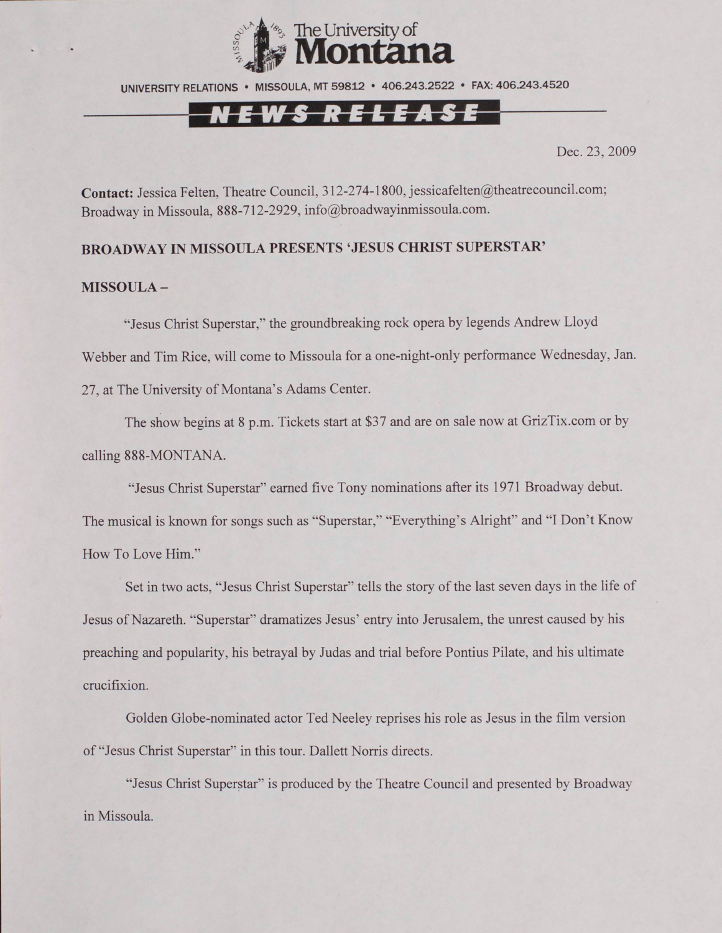

UNIVERSITY RELATIONS • MISSOULA, MT 59812 • 406.243.2522 • FAX: 406.243.4520

## <u>KELEA</u>S

Dec. 23, 2009

Contact: Jessica Felten, Theatre Council, 312-274-1800, [jessicafelten@theatrecouncil.com;](mailto:jessicafelten@theatrecouncil.com) Broadway in Missoula, 888-712-2929, [info@broadwayinmissoula.com](mailto:info@broadwayinmissoula.com).

### **BROADWAY IN MISSOULA PRESENTS 'JESUS CHRIST SUPERSTAR'**

#### **MISSOULA -**

"Jesus Christ Superstar," the groundbreaking rock opera by legends Andrew Lloyd Webber and Tim Rice, will come to Missoula for a one-night-only performance Wednesday, Jan. 27, at The University of Montana's Adams Center.

The show begins at 8 p.m. Tickets start at \$37 and are on sale now at GrizTix.com or by calling 888-MONTANA.

"Jesus Christ Superstar" earned five Tony nominations after its 1971 Broadway debut. The musical is known for songs such as "Superstar," "Everything's Alright" and "I Don't Know How To Love Him."

Set in two acts, "Jesus Christ Superstar" tells the story of the last seven days in the life of Jesus of Nazareth. "Superstar" dramatizes Jesus' entry into Jerusalem, the unrest caused by his preaching and popularity, his betrayal by Judas and trial before Pontius Pilate, and his ultimate crucifixion.

Golden Globe-nominated actor Ted Neeley reprises his role as Jesus in the film version of "Jesus Christ Superstar" in this tour. Dallett Norris directs.

"Jesus Christ Superstar" is produced by the Theatre Council and presented by Broadway in Missoula.